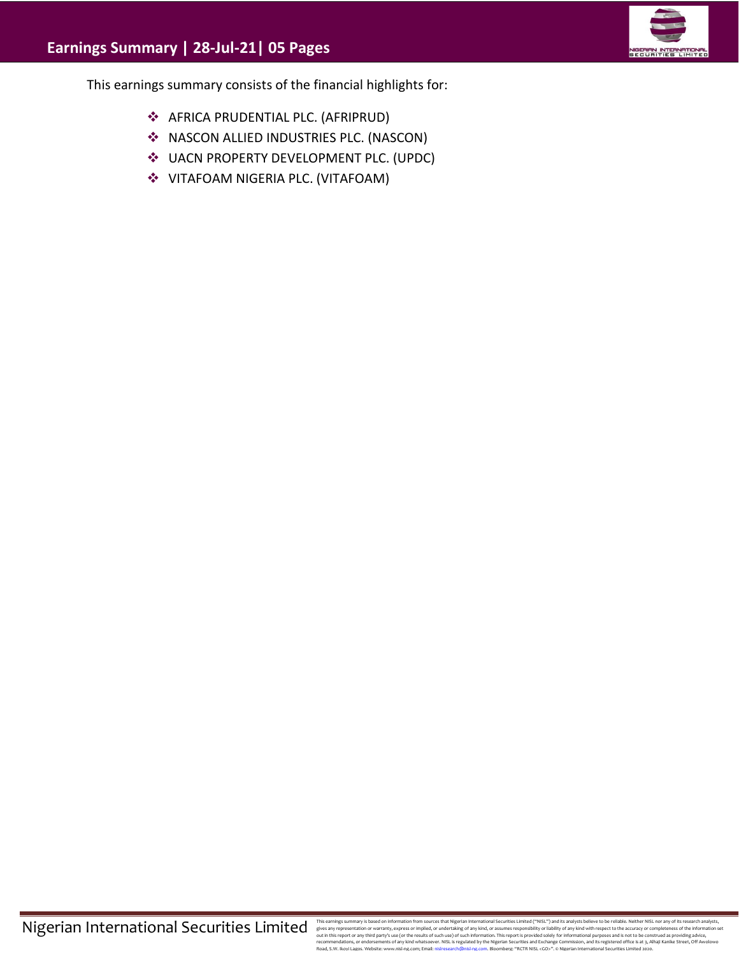

This earnings summary consists of the financial highlights for:

- ❖ AFRICA PRUDENTIAL PLC. (AFRIPRUD)
- ❖ NASCON ALLIED INDUSTRIES PLC. (NASCON)
- ❖ UACN PROPERTY DEVELOPMENT PLC. (UPDC)
- ❖ VITAFOAM NIGERIA PLC. (VITAFOAM)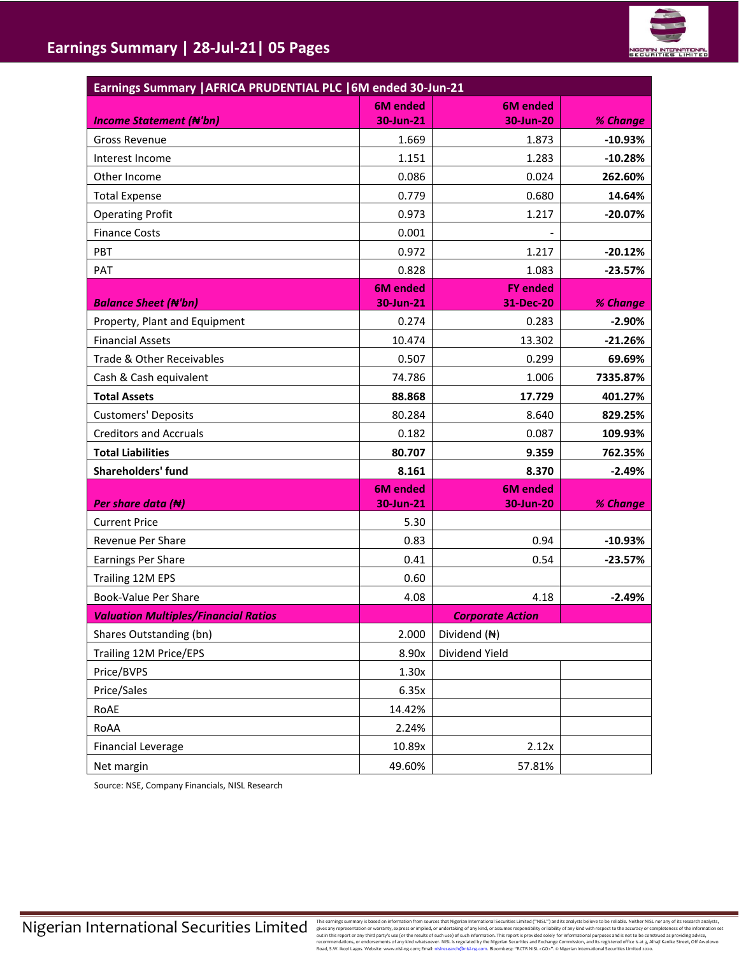

| Earnings Summary   AFRICA PRUDENTIAL PLC   6M ended 30-Jun-21 |                 |                         |           |  |  |  |  |
|---------------------------------------------------------------|-----------------|-------------------------|-----------|--|--|--|--|
|                                                               | <b>6M</b> ended | <b>6M</b> ended         |           |  |  |  |  |
| <b>Income Statement (N'bn)</b>                                | 30-Jun-21       | 30-Jun-20               | % Change  |  |  |  |  |
| <b>Gross Revenue</b>                                          | 1.669           | 1.873                   | $-10.93%$ |  |  |  |  |
| Interest Income                                               | 1.151           | 1.283                   | $-10.28%$ |  |  |  |  |
| Other Income                                                  | 0.086           | 0.024                   | 262.60%   |  |  |  |  |
| <b>Total Expense</b>                                          | 0.779           | 0.680                   | 14.64%    |  |  |  |  |
| <b>Operating Profit</b>                                       | 0.973           | 1.217                   | $-20.07%$ |  |  |  |  |
| <b>Finance Costs</b>                                          | 0.001           |                         |           |  |  |  |  |
| PBT                                                           | 0.972           | 1.217                   | $-20.12%$ |  |  |  |  |
| PAT                                                           | 0.828           | 1.083                   | $-23.57%$ |  |  |  |  |
|                                                               | <b>6M</b> ended | <b>FY ended</b>         |           |  |  |  |  |
| <b>Balance Sheet (N'bn)</b>                                   | 30-Jun-21       | 31-Dec-20               | % Change  |  |  |  |  |
| Property, Plant and Equipment                                 | 0.274           | 0.283                   | $-2.90%$  |  |  |  |  |
| <b>Financial Assets</b>                                       | 10.474          | 13.302                  | $-21.26%$ |  |  |  |  |
| Trade & Other Receivables                                     | 0.507           | 0.299                   | 69.69%    |  |  |  |  |
| Cash & Cash equivalent                                        | 74.786          | 1.006                   | 7335.87%  |  |  |  |  |
| <b>Total Assets</b>                                           | 88.868          | 17.729                  | 401.27%   |  |  |  |  |
| <b>Customers' Deposits</b>                                    | 80.284          | 8.640                   | 829.25%   |  |  |  |  |
| <b>Creditors and Accruals</b>                                 | 0.182           | 0.087                   | 109.93%   |  |  |  |  |
| <b>Total Liabilities</b>                                      | 80.707          | 9.359                   | 762.35%   |  |  |  |  |
| Shareholders' fund                                            | 8.161           | 8.370                   | $-2.49%$  |  |  |  |  |
|                                                               | <b>6M</b> ended | <b>6M</b> ended         |           |  |  |  |  |
| Per share data $(\bigstar)$                                   | 30-Jun-21       | 30-Jun-20               | % Change  |  |  |  |  |
| <b>Current Price</b>                                          | 5.30            |                         |           |  |  |  |  |
| Revenue Per Share                                             | 0.83            | 0.94                    | $-10.93%$ |  |  |  |  |
| Earnings Per Share                                            | 0.41            | 0.54                    | $-23.57%$ |  |  |  |  |
| Trailing 12M EPS                                              | 0.60            |                         |           |  |  |  |  |
| <b>Book-Value Per Share</b>                                   | 4.08            | 4.18                    | $-2.49%$  |  |  |  |  |
| <b>Valuation Multiples/Financial Ratios</b>                   |                 | <b>Corporate Action</b> |           |  |  |  |  |
| Shares Outstanding (bn)                                       | 2.000           | Dividend (N)            |           |  |  |  |  |
| Trailing 12M Price/EPS                                        | 8.90x           | Dividend Yield          |           |  |  |  |  |
| Price/BVPS                                                    | 1.30x           |                         |           |  |  |  |  |
| Price/Sales                                                   | 6.35x           |                         |           |  |  |  |  |
| RoAE                                                          | 14.42%          |                         |           |  |  |  |  |
| RoAA                                                          | 2.24%           |                         |           |  |  |  |  |
| <b>Financial Leverage</b>                                     | 10.89x          | 2.12x                   |           |  |  |  |  |
| Net margin                                                    | 49.60%          | 57.81%                  |           |  |  |  |  |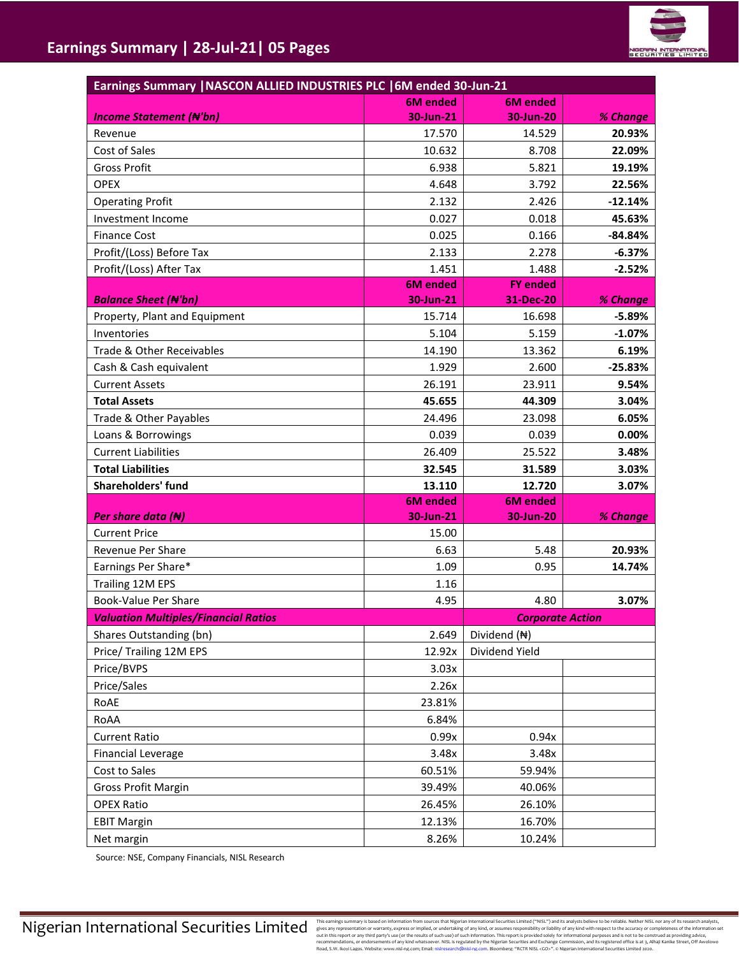

| Earnings Summary   NASCON ALLIED INDUSTRIES PLC   6M ended 30-Jun-21 |                              |                         |           |  |  |  |
|----------------------------------------------------------------------|------------------------------|-------------------------|-----------|--|--|--|
|                                                                      | <b>6M</b> ended              | <b>6M</b> ended         |           |  |  |  |
| <b>Income Statement (N'bn)</b>                                       | 30-Jun-21                    | 30-Jun-20               | % Change  |  |  |  |
| Revenue                                                              | 17.570                       | 14.529                  | 20.93%    |  |  |  |
| Cost of Sales                                                        | 10.632                       | 8.708                   | 22.09%    |  |  |  |
| <b>Gross Profit</b>                                                  | 6.938                        | 5.821                   | 19.19%    |  |  |  |
| <b>OPEX</b>                                                          | 4.648                        | 3.792                   | 22.56%    |  |  |  |
| <b>Operating Profit</b>                                              | 2.132                        | 2.426                   | $-12.14%$ |  |  |  |
| Investment Income                                                    | 0.027                        | 0.018                   | 45.63%    |  |  |  |
| <b>Finance Cost</b>                                                  | 0.025                        | 0.166                   | $-84.84%$ |  |  |  |
| Profit/(Loss) Before Tax                                             | 2.133                        | 2.278                   | $-6.37%$  |  |  |  |
| Profit/(Loss) After Tax                                              | 1.451                        | 1.488                   | $-2.52%$  |  |  |  |
|                                                                      | <b>6M</b> ended              | <b>FY ended</b>         |           |  |  |  |
| <b>Balance Sheet (N'bn)</b>                                          | 30-Jun-21                    | 31-Dec-20               | % Change  |  |  |  |
| Property, Plant and Equipment                                        | 15.714                       | 16.698                  | $-5.89%$  |  |  |  |
| Inventories                                                          | 5.104                        | 5.159                   | $-1.07%$  |  |  |  |
| Trade & Other Receivables                                            | 14.190                       | 13.362                  | 6.19%     |  |  |  |
| Cash & Cash equivalent                                               | 1.929                        | 2.600                   | $-25.83%$ |  |  |  |
| <b>Current Assets</b>                                                | 26.191                       | 23.911                  | 9.54%     |  |  |  |
| <b>Total Assets</b>                                                  | 45.655                       | 44.309                  | 3.04%     |  |  |  |
| Trade & Other Payables                                               | 24.496                       | 23.098                  | 6.05%     |  |  |  |
| Loans & Borrowings                                                   | 0.039                        | 0.039                   | 0.00%     |  |  |  |
| <b>Current Liabilities</b>                                           | 26.409                       | 25.522                  | 3.48%     |  |  |  |
| <b>Total Liabilities</b>                                             | 32.545                       | 31.589                  | 3.03%     |  |  |  |
| Shareholders' fund                                                   | 13.110                       | 12.720                  | 3.07%     |  |  |  |
|                                                                      | <b>6M</b> ended<br>30-Jun-21 | <b>6M</b> ended         |           |  |  |  |
| Per share data $(\bigstar)$<br><b>Current Price</b>                  |                              | 30-Jun-20               | % Change  |  |  |  |
|                                                                      | 15.00                        | 5.48                    |           |  |  |  |
| Revenue Per Share                                                    | 6.63                         |                         | 20.93%    |  |  |  |
| Earnings Per Share*                                                  | 1.09                         | 0.95                    | 14.74%    |  |  |  |
| Trailing 12M EPS                                                     | 1.16                         |                         |           |  |  |  |
| Book-Value Per Share<br><b>Valuation Multiples/Financial Ratios</b>  | 4.95                         | 4.80                    | 3.07%     |  |  |  |
| Shares Outstanding (bn)                                              | 2.649                        | <b>Corporate Action</b> |           |  |  |  |
|                                                                      |                              | Dividend (N)            |           |  |  |  |
| Price/ Trailing 12M EPS                                              | 12.92x                       | Dividend Yield          |           |  |  |  |
| Price/BVPS                                                           | 3.03x                        |                         |           |  |  |  |
| Price/Sales                                                          | 2.26x                        |                         |           |  |  |  |
| RoAE                                                                 | 23.81%                       |                         |           |  |  |  |
| RoAA                                                                 | 6.84%                        |                         |           |  |  |  |
| <b>Current Ratio</b>                                                 | 0.99x                        | 0.94x                   |           |  |  |  |
| <b>Financial Leverage</b>                                            | 3.48x                        | 3.48x                   |           |  |  |  |
| Cost to Sales                                                        | 60.51%                       | 59.94%                  |           |  |  |  |
| <b>Gross Profit Margin</b>                                           | 39.49%                       | 40.06%                  |           |  |  |  |
| <b>OPEX Ratio</b>                                                    | 26.45%                       | 26.10%                  |           |  |  |  |
| <b>EBIT Margin</b>                                                   | 12.13%                       | 16.70%                  |           |  |  |  |
| Net margin                                                           | 8.26%                        | 10.24%                  |           |  |  |  |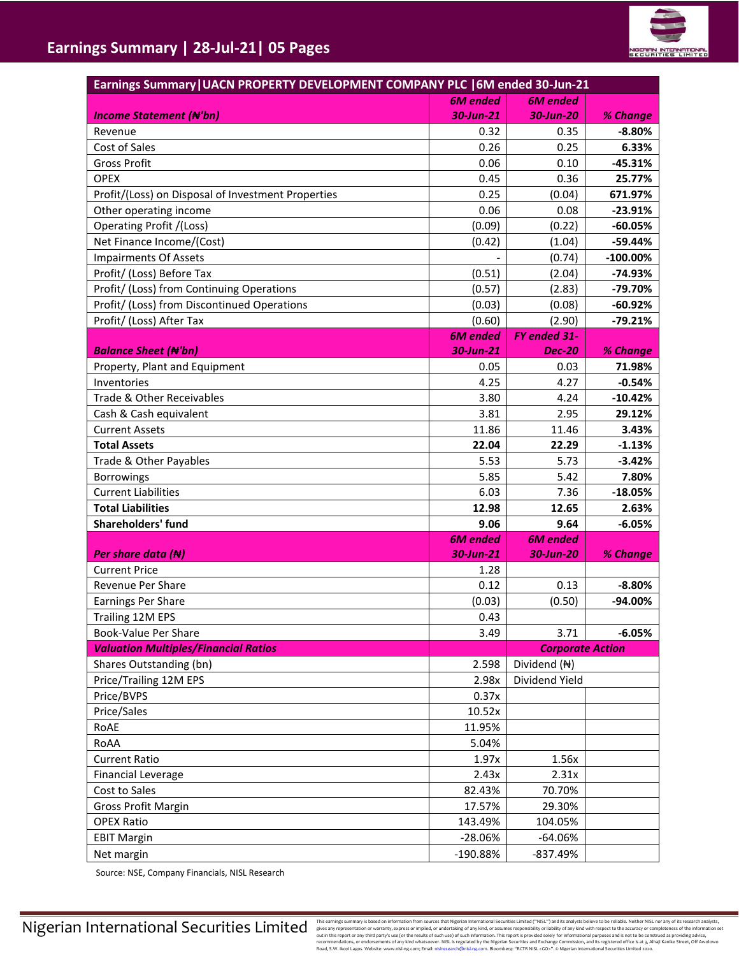| Earnings Summary   UACN PROPERTY DEVELOPMENT COMPANY PLC   6M ended 30-Jun-21 |                 |                         |             |  |
|-------------------------------------------------------------------------------|-----------------|-------------------------|-------------|--|
|                                                                               | <b>6M</b> ended | <b>6M</b> ended         |             |  |
| <b>Income Statement (N'bn)</b>                                                | 30-Jun-21       | 30-Jun-20               | % Change    |  |
| Revenue                                                                       | 0.32            | 0.35                    | $-8.80%$    |  |
| Cost of Sales                                                                 | 0.26            | 0.25                    | 6.33%       |  |
| <b>Gross Profit</b>                                                           | 0.06            | 0.10                    | -45.31%     |  |
| <b>OPEX</b>                                                                   | 0.45            | 0.36                    | 25.77%      |  |
| Profit/(Loss) on Disposal of Investment Properties                            | 0.25            | (0.04)                  | 671.97%     |  |
| Other operating income                                                        | 0.06            | 0.08                    | $-23.91%$   |  |
| Operating Profit /(Loss)                                                      | (0.09)          | (0.22)                  | $-60.05%$   |  |
| Net Finance Income/(Cost)                                                     | (0.42)          | (1.04)                  | $-59.44%$   |  |
| <b>Impairments Of Assets</b>                                                  |                 | (0.74)                  | $-100.00\%$ |  |
| Profit/ (Loss) Before Tax                                                     | (0.51)          | (2.04)                  | $-74.93%$   |  |
| Profit/ (Loss) from Continuing Operations                                     | (0.57)          | (2.83)                  | -79.70%     |  |
| Profit/ (Loss) from Discontinued Operations                                   | (0.03)          | (0.08)                  | $-60.92%$   |  |
| Profit/ (Loss) After Tax                                                      | (0.60)          | (2.90)                  | $-79.21%$   |  |
|                                                                               | <b>6M</b> ended | FY ended 31-            |             |  |
| <b>Balance Sheet (N'bn)</b>                                                   | 30-Jun-21       | <b>Dec-20</b>           | % Change    |  |
| Property, Plant and Equipment                                                 | 0.05            | 0.03                    | 71.98%      |  |
| Inventories                                                                   | 4.25            | 4.27                    | $-0.54%$    |  |
| Trade & Other Receivables                                                     | 3.80            | 4.24                    | $-10.42%$   |  |
| Cash & Cash equivalent                                                        | 3.81            | 2.95                    | 29.12%      |  |
| <b>Current Assets</b>                                                         | 11.86           | 11.46                   | 3.43%       |  |
| <b>Total Assets</b>                                                           | 22.04           | 22.29                   | $-1.13%$    |  |
| Trade & Other Payables                                                        | 5.53            | 5.73                    | $-3.42%$    |  |
| <b>Borrowings</b>                                                             | 5.85            | 5.42                    | 7.80%       |  |
| <b>Current Liabilities</b>                                                    | 6.03            | 7.36                    | $-18.05%$   |  |
| <b>Total Liabilities</b>                                                      | 12.98           | 12.65                   | 2.63%       |  |
| Shareholders' fund                                                            | 9.06            | 9.64                    | $-6.05%$    |  |
|                                                                               | <b>6M</b> ended | <b>6M</b> ended         |             |  |
| Per share data $(H)$                                                          | 30-Jun-21       | 30-Jun-20               | % Change    |  |
| <b>Current Price</b>                                                          | 1.28            |                         |             |  |
| Revenue Per Share                                                             | 0.12            | 0.13                    | $-8.80%$    |  |
| Earnings Per Share                                                            | (0.03)          | (0.50)                  | -94.00%     |  |
| Trailing 12M EPS                                                              | 0.43            |                         |             |  |
| Book-Value Per Share                                                          | 3.49            | 3.71                    | $-6.05%$    |  |
| <b>Valuation Multiples/Financial Ratios</b>                                   |                 | <b>Corporate Action</b> |             |  |
| Shares Outstanding (bn)                                                       | 2.598           | Dividend (N)            |             |  |
| Price/Trailing 12M EPS                                                        | 2.98x           | Dividend Yield          |             |  |
| Price/BVPS                                                                    | 0.37x           |                         |             |  |
| Price/Sales                                                                   | 10.52x          |                         |             |  |
| RoAE                                                                          | 11.95%          |                         |             |  |
| RoAA                                                                          | 5.04%           |                         |             |  |
| <b>Current Ratio</b>                                                          | 1.97x           | 1.56x                   |             |  |
| <b>Financial Leverage</b>                                                     | 2.43x           | 2.31x                   |             |  |
| Cost to Sales                                                                 | 82.43%          | 70.70%                  |             |  |
| <b>Gross Profit Margin</b>                                                    | 17.57%          | 29.30%                  |             |  |
| <b>OPEX Ratio</b>                                                             | 143.49%         | 104.05%                 |             |  |
| <b>EBIT Margin</b>                                                            | $-28.06%$       | -64.06%                 |             |  |
| Net margin                                                                    | -190.88%        | -837.49%                |             |  |